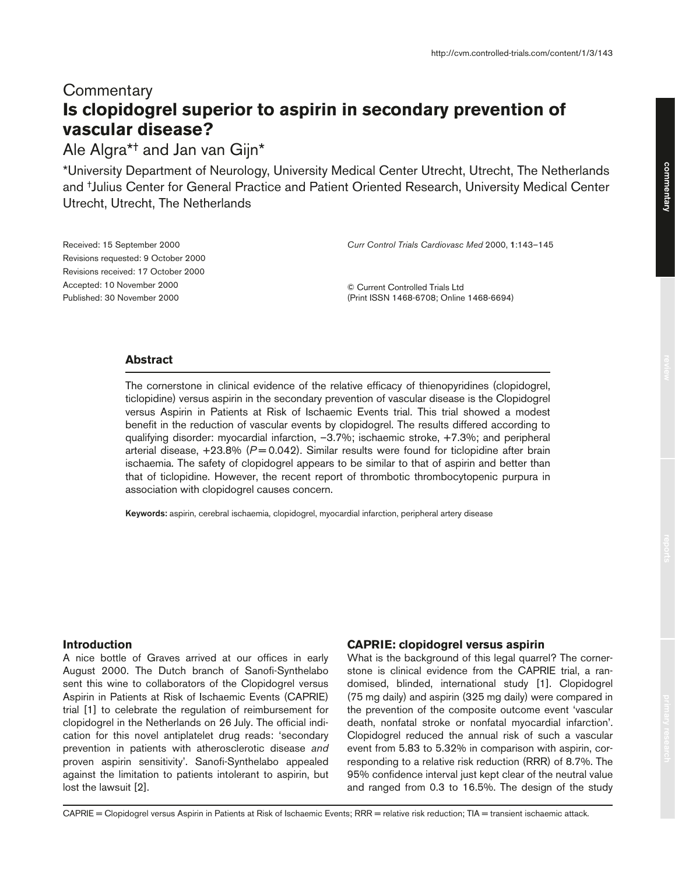# **Commentary Is clopidogrel superior to aspirin in secondary prevention of vascular disease?**

Ale Algra\*† and Jan van Gijn\*

\*University Department of Neurology, University Medical Center Utrecht, Utrecht, The Netherlands and †Julius Center for General Practice and Patient Oriented Research, University Medical Center Utrecht, Utrecht, The Netherlands

Received: 15 September 2000 Revisions requested: 9 October 2000 Revisions received: 17 October 2000 Accepted: 10 November 2000 Published: 30 November 2000

*Curr Control Trials Cardiovasc Med* 2000, **1**:143–145

© Current Controlled Trials Ltd (Print ISSN 1468-6708; Online 1468-6694)

### **Abstract**

The cornerstone in clinical evidence of the relative efficacy of thienopyridines (clopidogrel, ticlopidine) versus aspirin in the secondary prevention of vascular disease is the Clopidogrel versus Aspirin in Patients at Risk of Ischaemic Events trial. This trial showed a modest benefit in the reduction of vascular events by clopidogrel. The results differed according to qualifying disorder: myocardial infarction, –3.7%; ischaemic stroke, +7.3%; and peripheral arterial disease,  $+23.8\%$  ( $P = 0.042$ ). Similar results were found for ticlopidine after brain ischaemia. The safety of clopidogrel appears to be similar to that of aspirin and better than that of ticlopidine. However, the recent report of thrombotic thrombocytopenic purpura in association with clopidogrel causes concern.

**Keywords:** aspirin, cerebral ischaemia, clopidogrel, myocardial infarction, peripheral artery disease

## **Introduction**

A nice bottle of Graves arrived at our offices in early August 2000. The Dutch branch of Sanofi-Synthelabo sent this wine to collaborators of the Clopidogrel versus Aspirin in Patients at Risk of Ischaemic Events (CAPRIE) trial [1] to celebrate the regulation of reimbursement for clopidogrel in the Netherlands on 26 July. The official indication for this novel antiplatelet drug reads: 'secondary prevention in patients with atherosclerotic disease *and* proven aspirin sensitivity'. Sanofi-Synthelabo appealed against the limitation to patients intolerant to aspirin, but lost the lawsuit [2].

# **CAPRIE: clopidogrel versus aspirin**

What is the background of this legal quarrel? The cornerstone is clinical evidence from the CAPRIE trial, a randomised, blinded, international study [1]. Clopidogrel (75 mg daily) and aspirin (325 mg daily) were compared in the prevention of the composite outcome event 'vascular death, nonfatal stroke or nonfatal myocardial infarction'. Clopidogrel reduced the annual risk of such a vascular event from 5.83 to 5.32% in comparison with aspirin, corresponding to a relative risk reduction (RRR) of 8.7%. The 95% confidence interval just kept clear of the neutral value and ranged from 0.3 to 16.5%. The design of the study

CAPRIE = Clopidogrel versus Aspirin in Patients at Risk of Ischaemic Events; RRR = relative risk reduction; TIA = transient ischaemic attack.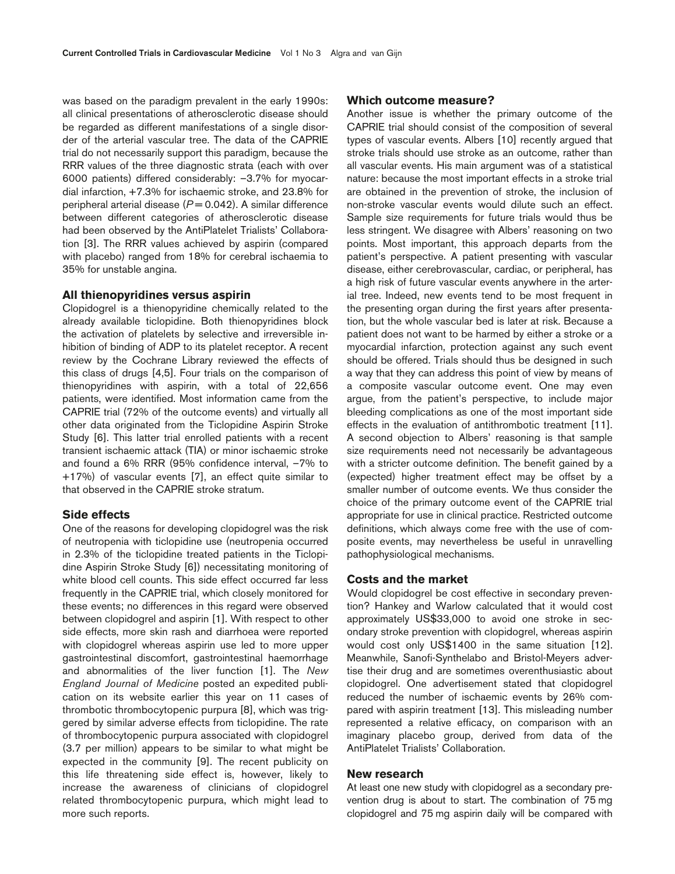was based on the paradigm prevalent in the early 1990s: all clinical presentations of atherosclerotic disease should be regarded as different manifestations of a single disorder of the arterial vascular tree. The data of the CAPRIE trial do not necessarily support this paradigm, because the RRR values of the three diagnostic strata (each with over 6000 patients) differed considerably: –3.7% for myocardial infarction, +7.3% for ischaemic stroke, and 23.8% for peripheral arterial disease (*P* = 0.042). A similar difference between different categories of atherosclerotic disease had been observed by the AntiPlatelet Trialists' Collaboration [3]. The RRR values achieved by aspirin (compared with placebo) ranged from 18% for cerebral ischaemia to 35% for unstable angina.

#### **All thienopyridines versus aspirin**

Clopidogrel is a thienopyridine chemically related to the already available ticlopidine. Both thienopyridines block the activation of platelets by selective and irreversible inhibition of binding of ADP to its platelet receptor. A recent review by the Cochrane Library reviewed the effects of this class of drugs [4,5]. Four trials on the comparison of thienopyridines with aspirin, with a total of 22,656 patients, were identified. Most information came from the CAPRIE trial (72% of the outcome events) and virtually all other data originated from the Ticlopidine Aspirin Stroke Study [6]. This latter trial enrolled patients with a recent transient ischaemic attack (TIA) or minor ischaemic stroke and found a 6% RRR (95% confidence interval, –7% to +17%) of vascular events [7], an effect quite similar to that observed in the CAPRIE stroke stratum.

#### **Side effects**

One of the reasons for developing clopidogrel was the risk of neutropenia with ticlopidine use (neutropenia occurred in 2.3% of the ticlopidine treated patients in the Ticlopidine Aspirin Stroke Study [6]) necessitating monitoring of white blood cell counts. This side effect occurred far less frequently in the CAPRIE trial, which closely monitored for these events; no differences in this regard were observed between clopidogrel and aspirin [1]. With respect to other side effects, more skin rash and diarrhoea were reported with clopidogrel whereas aspirin use led to more upper gastrointestinal discomfort, gastrointestinal haemorrhage and abnormalities of the liver function [1]. The *New England Journal of Medicine* posted an expedited publication on its website earlier this year on 11 cases of thrombotic thrombocytopenic purpura [8], which was triggered by similar adverse effects from ticlopidine. The rate of thrombocytopenic purpura associated with clopidogrel (3.7 per million) appears to be similar to what might be expected in the community [9]. The recent publicity on this life threatening side effect is, however, likely to increase the awareness of clinicians of clopidogrel related thrombocytopenic purpura, which might lead to more such reports.

#### **Which outcome measure?**

Another issue is whether the primary outcome of the CAPRIE trial should consist of the composition of several types of vascular events. Albers [10] recently argued that stroke trials should use stroke as an outcome, rather than all vascular events. His main argument was of a statistical nature: because the most important effects in a stroke trial are obtained in the prevention of stroke, the inclusion of non-stroke vascular events would dilute such an effect. Sample size requirements for future trials would thus be less stringent. We disagree with Albers' reasoning on two points. Most important, this approach departs from the patient's perspective. A patient presenting with vascular disease, either cerebrovascular, cardiac, or peripheral, has a high risk of future vascular events anywhere in the arterial tree. Indeed, new events tend to be most frequent in the presenting organ during the first years after presentation, but the whole vascular bed is later at risk. Because a patient does not want to be harmed by either a stroke or a myocardial infarction, protection against any such event should be offered. Trials should thus be designed in such a way that they can address this point of view by means of a composite vascular outcome event. One may even argue, from the patient's perspective, to include major bleeding complications as one of the most important side effects in the evaluation of antithrombotic treatment [11]. A second objection to Albers' reasoning is that sample size requirements need not necessarily be advantageous with a stricter outcome definition. The benefit gained by a (expected) higher treatment effect may be offset by a smaller number of outcome events. We thus consider the choice of the primary outcome event of the CAPRIE trial appropriate for use in clinical practice. Restricted outcome definitions, which always come free with the use of composite events, may nevertheless be useful in unravelling pathophysiological mechanisms.

#### **Costs and the market**

Would clopidogrel be cost effective in secondary prevention? Hankey and Warlow calculated that it would cost approximately US\$33,000 to avoid one stroke in secondary stroke prevention with clopidogrel, whereas aspirin would cost only US\$1400 in the same situation [12]. Meanwhile, Sanofi-Synthelabo and Bristol-Meyers advertise their drug and are sometimes overenthusiastic about clopidogrel. One advertisement stated that clopidogrel reduced the number of ischaemic events by 26% compared with aspirin treatment [13]. This misleading number represented a relative efficacy, on comparison with an imaginary placebo group, derived from data of the AntiPlatelet Trialists' Collaboration.

#### **New research**

At least one new study with clopidogrel as a secondary prevention drug is about to start. The combination of 75 mg clopidogrel and 75 mg aspirin daily will be compared with